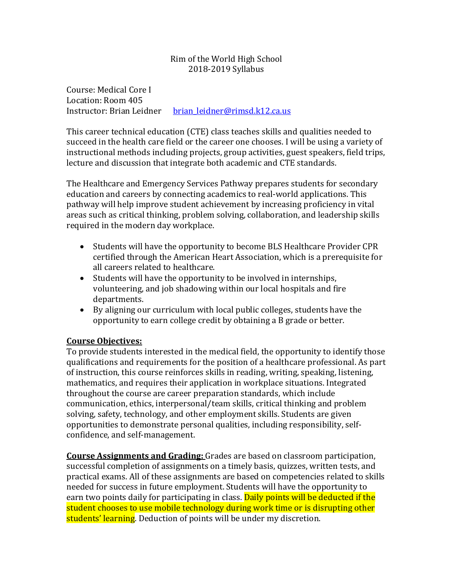# Rim of the World High School 2018-2019 Syllabus

Course: Medical Core I Location: Room 405 Instructor: Brian Leidner brian leidner@rimsd.k12.ca.us

This career technical education (CTE) class teaches skills and qualities needed to succeed in the health care field or the career one chooses. I will be using a variety of instructional methods including projects, group activities, guest speakers, field trips, lecture and discussion that integrate both academic and CTE standards.

The Healthcare and Emergency Services Pathway prepares students for secondary education and careers by connecting academics to real-world applications. This pathway will help improve student achievement by increasing proficiency in vital areas such as critical thinking, problem solving, collaboration, and leadership skills required in the modern day workplace.

- Students will have the opportunity to become BLS Healthcare Provider CPR certified through the American Heart Association, which is a prerequisite for all careers related to healthcare.
- $\bullet$  Students will have the opportunity to be involved in internships, volunteering, and job shadowing within our local hospitals and fire departments.
- By aligning our curriculum with local public colleges, students have the opportunity to earn college credit by obtaining a B grade or better.

# **Course Objectives:**

To provide students interested in the medical field, the opportunity to identify those qualifications and requirements for the position of a healthcare professional. As part of instruction, this course reinforces skills in reading, writing, speaking, listening, mathematics, and requires their application in workplace situations. Integrated throughout the course are career preparation standards, which include communication, ethics, interpersonal/team skills, critical thinking and problem solving, safety, technology, and other employment skills. Students are given opportunities to demonstrate personal qualities, including responsibility, selfconfidence, and self-management.

**Course Assignments and Grading:** Grades are based on classroom participation, successful completion of assignments on a timely basis, quizzes, written tests, and practical exams. All of these assignments are based on competencies related to skills needed for success in future employment. Students will have the opportunity to earn two points daily for participating in class. Daily points will be deducted if the student chooses to use mobile technology during work time or is disrupting other students' learning. Deduction of points will be under my discretion.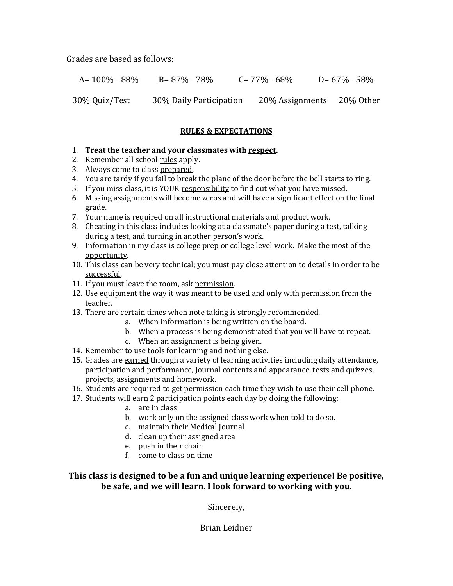Grades are based as follows:

A= 100% - 88% B= 87% - 78% C= 77% - 68% D= 67% - 58%

30% Quiz/Test 30% Daily Participation 20% Assignments 20% Other

### **RULES & EXPECTATIONS**

### 1. **Treat the teacher and your classmates with respect.**

- 2. Remember all school rules apply.
- 3. Always come to class prepared.
- 4. You are tardy if you fail to break the plane of the door before the bell starts to ring.
- 5. If you miss class, it is YOUR responsibility to find out what you have missed.
- 6. Missing assignments will become zeros and will have a significant effect on the final grade.
- 7. Your name is required on all instructional materials and product work.
- 8. Cheating in this class includes looking at a classmate's paper during a test, talking during a test, and turning in another person's work.
- 9. Information in my class is college prep or college level work. Make the most of the opportunity.
- 10. This class can be very technical; you must pay close attention to details in order to be successful.
- 11. If you must leave the room, ask permission.
- 12. Use equipment the way it was meant to be used and only with permission from the teacher.
- 13. There are certain times when note taking is strongly recommended.
	- a. When information is being written on the board.
	- b. When a process is being demonstrated that you will have to repeat.
	- c. When an assignment is being given.
- 14. Remember to use tools for learning and nothing else.
- 15. Grades are earned through a variety of learning activities including daily attendance, participation and performance, Journal contents and appearance, tests and quizzes, projects, assignments and homework.
- 16. Students are required to get permission each time they wish to use their cell phone.
- 17. Students will earn 2 participation points each day by doing the following:
	- a. are in class
	- b. work only on the assigned class work when told to do so.
	- c. maintain their Medical Journal
	- d. clean up their assigned area
	- e. push in their chair
	- f. come to class on time

This class is designed to be a fun and unique learning experience! Be positive, be safe, and we will learn. I look forward to working with you.

Sincerely,

Brian Leidner